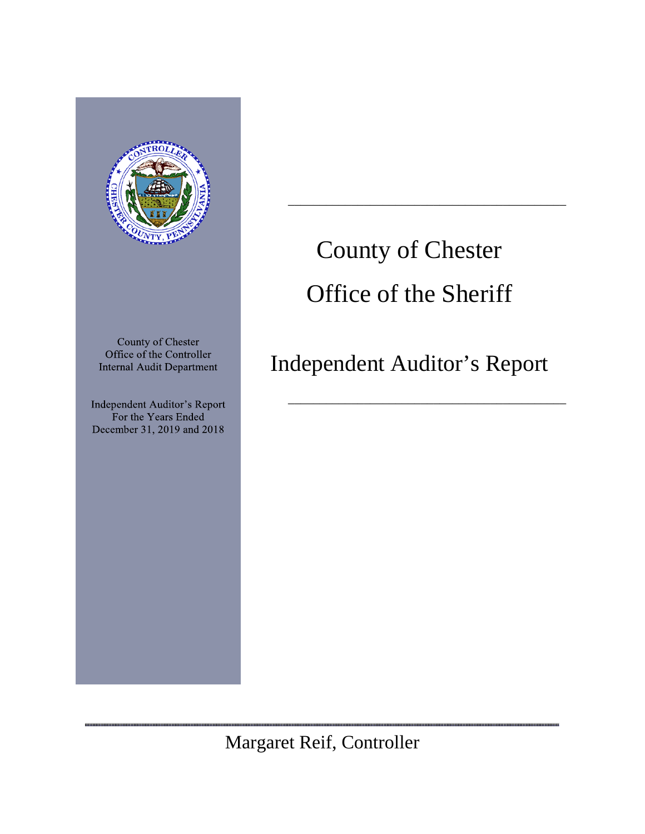

,,,,,,,,,,,,,,,,,,,,,,,,,,

# County of Chester Office of the Sheriff

\_\_\_\_\_\_\_\_\_\_\_\_\_\_\_\_\_\_\_\_\_\_\_\_\_\_\_\_\_\_\_\_\_\_\_\_\_\_\_\_\_\_\_\_

Independent Auditor's Report

\_\_\_\_\_\_\_\_\_\_\_\_\_\_\_\_\_\_\_\_\_\_\_\_\_\_\_\_\_\_\_\_\_\_\_\_\_\_\_\_\_\_\_\_

,,,,,,,,,,,,,,,,,,,,,,,,,,,,,,

Margaret Reif, Controller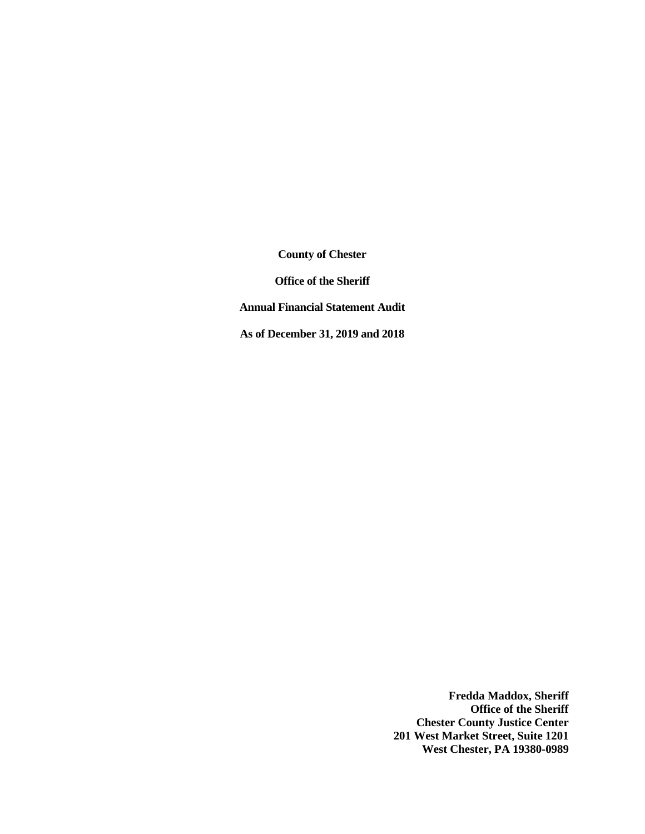**Office of the Sheriff**

**Annual Financial Statement Audit**

**As of December 31, 2019 and 2018**

**Fredda Maddox, Sheriff Office of the Sheriff Chester County Justice Center 201 West Market Street, Suite 1201 West Chester, PA 19380-0989**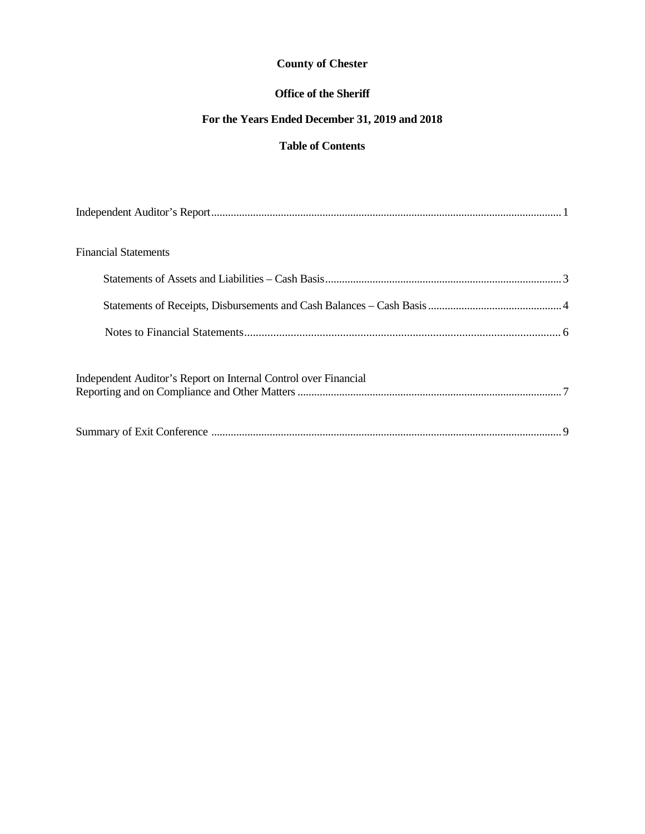## **Office of the Sheriff**

## **For the Years Ended December 31, 2019 and 2018**

## **Table of Contents**

| <b>Financial Statements</b>                                     |  |
|-----------------------------------------------------------------|--|
|                                                                 |  |
|                                                                 |  |
|                                                                 |  |
| Independent Auditor's Report on Internal Control over Financial |  |
|                                                                 |  |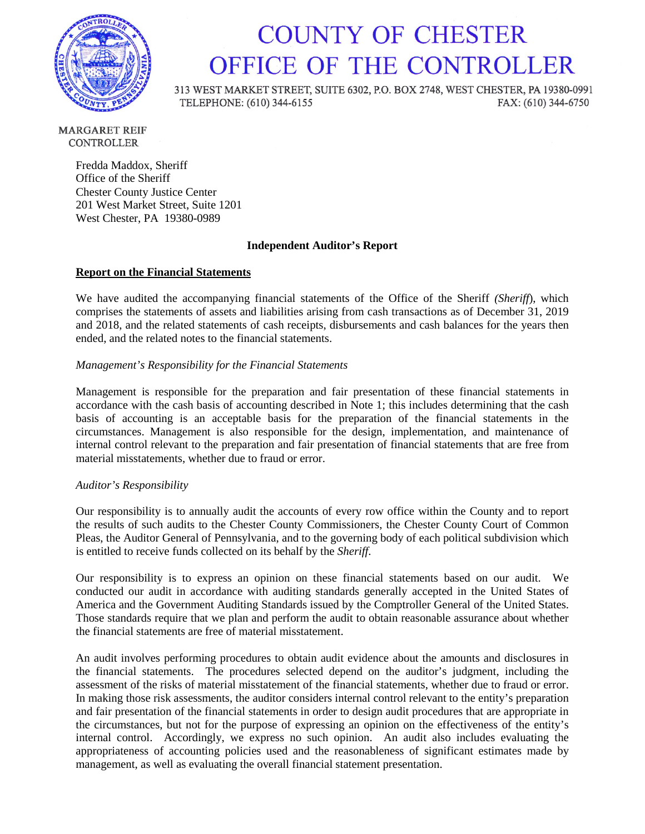

## **COUNTY OF CHESTER** OFFICE OF THE CONTROLLER

313 WEST MARKET STREET, SUITE 6302, P.O. BOX 2748, WEST CHESTER, PA 19380-0991 TELEPHONE: (610) 344-6155 FAX: (610) 344-6750

**MARGARET REIF CONTROLLER** 

> Fredda Maddox, Sheriff Office of the Sheriff Chester County Justice Center 201 West Market Street, Suite 1201 West Chester, PA 19380-0989

#### **Independent Auditor's Report**

#### **Report on the Financial Statements**

We have audited the accompanying financial statements of the Office of the Sheriff *(Sheriff*), which comprises the statements of assets and liabilities arising from cash transactions as of December 31, 2019 and 2018, and the related statements of cash receipts, disbursements and cash balances for the years then ended, and the related notes to the financial statements.

#### *Management's Responsibility for the Financial Statements*

Management is responsible for the preparation and fair presentation of these financial statements in accordance with the cash basis of accounting described in Note 1; this includes determining that the cash basis of accounting is an acceptable basis for the preparation of the financial statements in the circumstances. Management is also responsible for the design, implementation, and maintenance of internal control relevant to the preparation and fair presentation of financial statements that are free from material misstatements, whether due to fraud or error.

#### *Auditor's Responsibility*

Our responsibility is to annually audit the accounts of every row office within the County and to report the results of such audits to the Chester County Commissioners, the Chester County Court of Common Pleas, the Auditor General of Pennsylvania, and to the governing body of each political subdivision which is entitled to receive funds collected on its behalf by the *Sheriff*.

Our responsibility is to express an opinion on these financial statements based on our audit. We conducted our audit in accordance with auditing standards generally accepted in the United States of America and the Government Auditing Standards issued by the Comptroller General of the United States. Those standards require that we plan and perform the audit to obtain reasonable assurance about whether the financial statements are free of material misstatement.

An audit involves performing procedures to obtain audit evidence about the amounts and disclosures in the financial statements. The procedures selected depend on the auditor's judgment, including the assessment of the risks of material misstatement of the financial statements, whether due to fraud or error. In making those risk assessments, the auditor considers internal control relevant to the entity's preparation and fair presentation of the financial statements in order to design audit procedures that are appropriate in the circumstances, but not for the purpose of expressing an opinion on the effectiveness of the entity's internal control. Accordingly, we express no such opinion. An audit also includes evaluating the appropriateness of accounting policies used and the reasonableness of significant estimates made by management, as well as evaluating the overall financial statement presentation.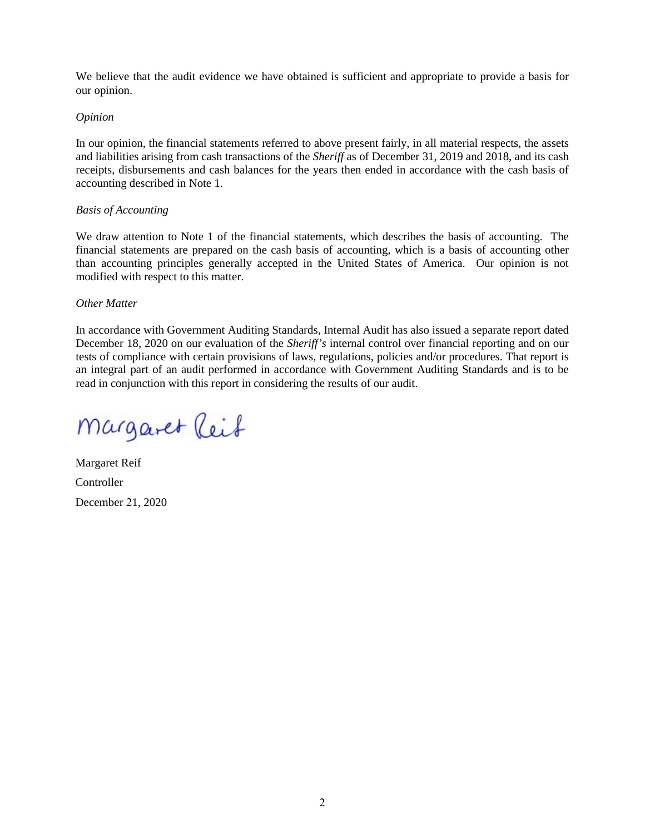We believe that the audit evidence we have obtained is sufficient and appropriate to provide a basis for our opinion.

#### *Opinion*

In our opinion, the financial statements referred to above present fairly, in all material respects, the assets and liabilities arising from cash transactions of the *Sheriff* as of December 31, 2019 and 2018, and its cash receipts, disbursements and cash balances for the years then ended in accordance with the cash basis of accounting described in Note 1.

#### *Basis of Accounting*

We draw attention to Note 1 of the financial statements, which describes the basis of accounting. The financial statements are prepared on the cash basis of accounting, which is a basis of accounting other than accounting principles generally accepted in the United States of America. Our opinion is not modified with respect to this matter.

#### *Other Matter*

In accordance with Government Auditing Standards, Internal Audit has also issued a separate report dated December 18, 2020 on our evaluation of the *Sheriff's* internal control over financial reporting and on our tests of compliance with certain provisions of laws, regulations, policies and/or procedures. That report is an integral part of an audit performed in accordance with Government Auditing Standards and is to be read in conjunction with this report in considering the results of our audit.

Margaret Reif

Margaret Reif Controller December 21, 2020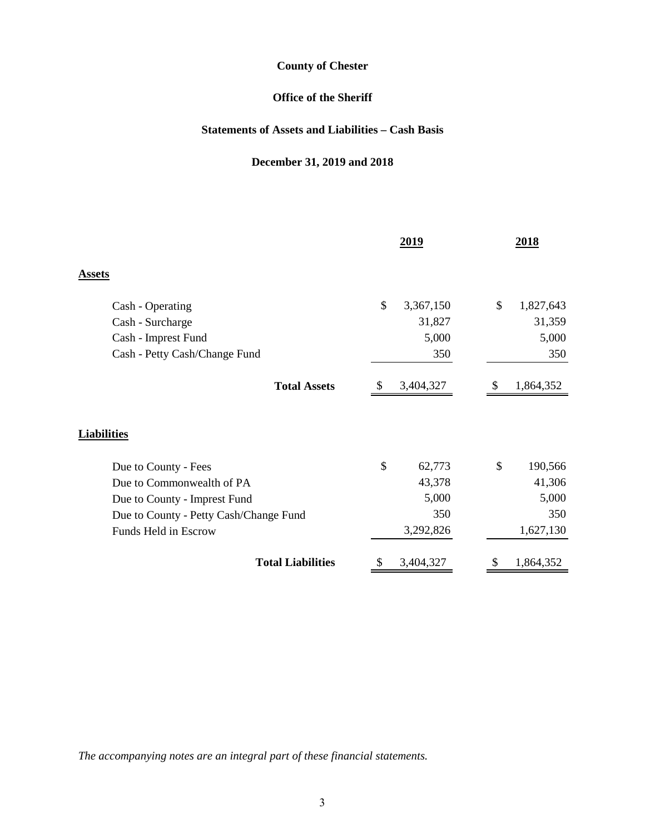## **Office of the Sheriff**

## **Statements of Assets and Liabilities – Cash Basis**

## **December 31, 2019 and 2018**

|                                        | 2019            | 2018                     |
|----------------------------------------|-----------------|--------------------------|
| Assets                                 |                 |                          |
| Cash - Operating                       | \$<br>3,367,150 | \$<br>1,827,643          |
| Cash - Surcharge                       | 31,827          | 31,359                   |
| Cash - Imprest Fund                    | 5,000           | 5,000                    |
| Cash - Petty Cash/Change Fund          | 350             | 350                      |
| <b>Total Assets</b>                    | 3,404,327       | 1,864,352                |
| <b>Liabilities</b>                     |                 |                          |
| Due to County - Fees                   | \$<br>62,773    | $\mathcal{S}$<br>190,566 |
| Due to Commonwealth of PA              | 43,378          | 41,306                   |
| Due to County - Imprest Fund           | 5,000           | 5,000                    |
| Due to County - Petty Cash/Change Fund | 350             | 350                      |
| Funds Held in Escrow                   | 3,292,826       | 1,627,130                |
| <b>Total Liabilities</b>               | 3,404,327       | 1,864,352                |

*The accompanying notes are an integral part of these financial statements.*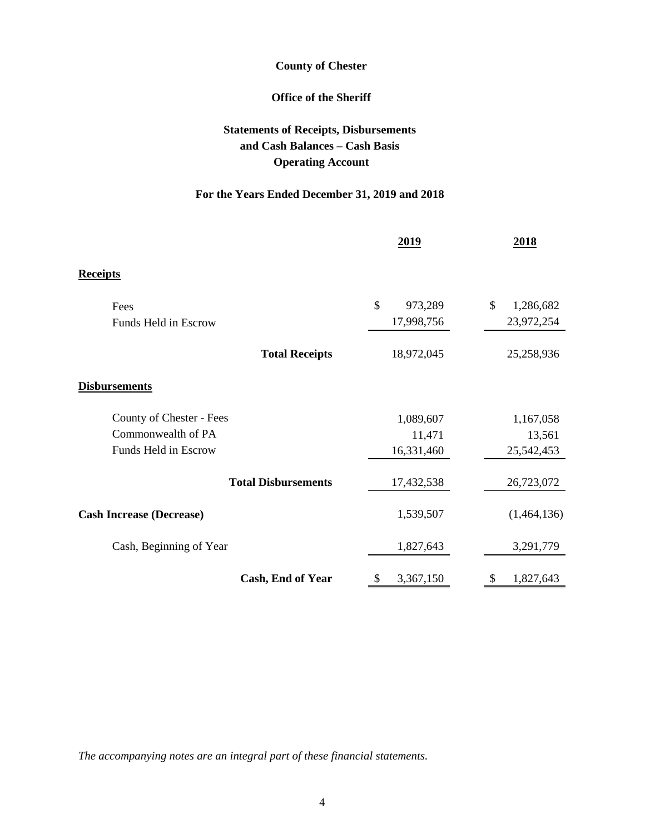## **Office of the Sheriff**

## **Statements of Receipts, Disbursements and Cash Balances – Cash Basis Operating Account**

## **For the Years Ended December 31, 2019 and 2018**

|                                 | 2019          | 2018            |
|---------------------------------|---------------|-----------------|
| <b>Receipts</b>                 |               |                 |
| Fees                            | \$<br>973,289 | \$<br>1,286,682 |
| Funds Held in Escrow            | 17,998,756    | 23,972,254      |
| <b>Total Receipts</b>           | 18,972,045    | 25,258,936      |
| <b>Disbursements</b>            |               |                 |
| County of Chester - Fees        | 1,089,607     | 1,167,058       |
| Commonwealth of PA              | 11,471        | 13,561          |
| Funds Held in Escrow            | 16,331,460    | 25,542,453      |
| <b>Total Disbursements</b>      | 17,432,538    | 26,723,072      |
| <b>Cash Increase (Decrease)</b> | 1,539,507     | (1,464,136)     |
| Cash, Beginning of Year         | 1,827,643     | 3,291,779       |
| Cash, End of Year               | 3,367,150     | 1,827,643       |

*The accompanying notes are an integral part of these financial statements.*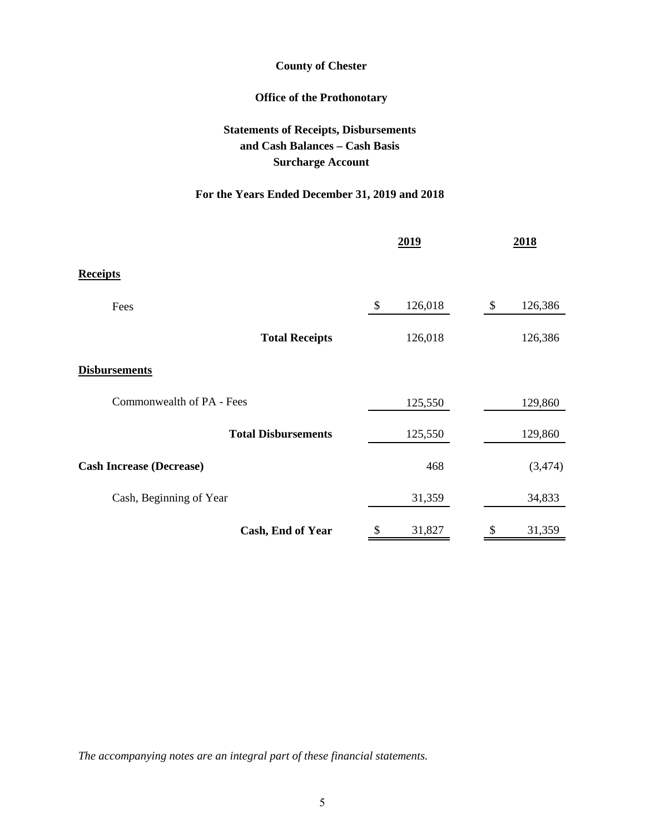## **Office of the Prothonotary**

## **Statements of Receipts, Disbursements and Cash Balances – Cash Basis Surcharge Account**

## **For the Years Ended December 31, 2019 and 2018**

|                                 | 2019          | 2018          |
|---------------------------------|---------------|---------------|
| <b>Receipts</b>                 |               |               |
| Fees                            | 126,018<br>\$ | 126,386<br>\$ |
| <b>Total Receipts</b>           | 126,018       | 126,386       |
| <b>Disbursements</b>            |               |               |
| Commonwealth of PA - Fees       | 125,550       | 129,860       |
| <b>Total Disbursements</b>      | 125,550       | 129,860       |
| <b>Cash Increase (Decrease)</b> | 468           | (3, 474)      |
| Cash, Beginning of Year         | 31,359        | 34,833        |
| Cash, End of Year               | 31,827        | 31,359        |

*The accompanying notes are an integral part of these financial statements.*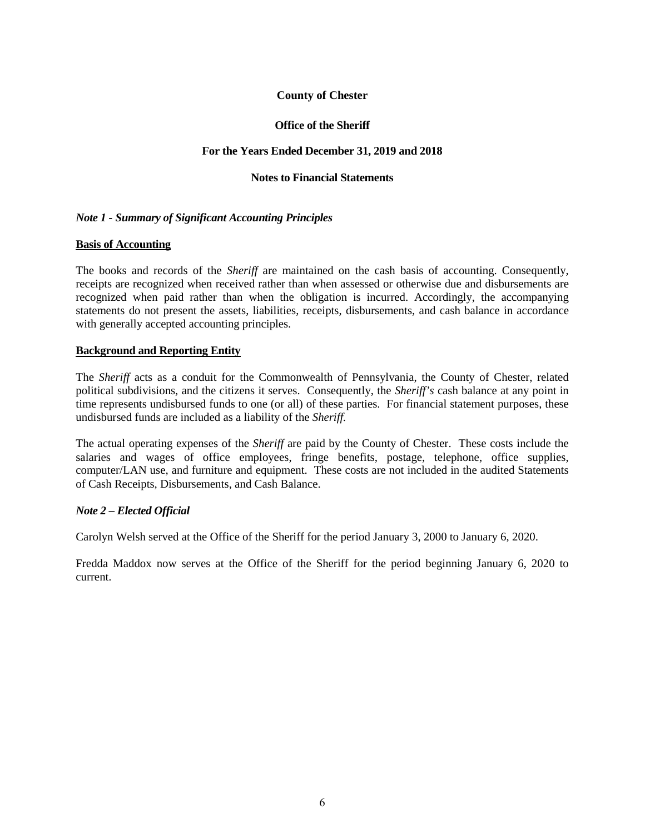#### **Office of the Sheriff**

#### **For the Years Ended December 31, 2019 and 2018**

#### **Notes to Financial Statements**

#### *Note 1 - Summary of Significant Accounting Principles*

#### **Basis of Accounting**

The books and records of the *Sheriff* are maintained on the cash basis of accounting. Consequently, receipts are recognized when received rather than when assessed or otherwise due and disbursements are recognized when paid rather than when the obligation is incurred. Accordingly, the accompanying statements do not present the assets, liabilities, receipts, disbursements, and cash balance in accordance with generally accepted accounting principles.

#### **Background and Reporting Entity**

The *Sheriff* acts as a conduit for the Commonwealth of Pennsylvania, the County of Chester, related political subdivisions, and the citizens it serves. Consequently, the *Sheriff's* cash balance at any point in time represents undisbursed funds to one (or all) of these parties. For financial statement purposes, these undisbursed funds are included as a liability of the *Sheriff.*

The actual operating expenses of the *Sheriff* are paid by the County of Chester. These costs include the salaries and wages of office employees, fringe benefits, postage, telephone, office supplies, computer/LAN use, and furniture and equipment. These costs are not included in the audited Statements of Cash Receipts, Disbursements, and Cash Balance.

#### *Note 2 – Elected Official*

Carolyn Welsh served at the Office of the Sheriff for the period January 3, 2000 to January 6, 2020.

Fredda Maddox now serves at the Office of the Sheriff for the period beginning January 6, 2020 to current.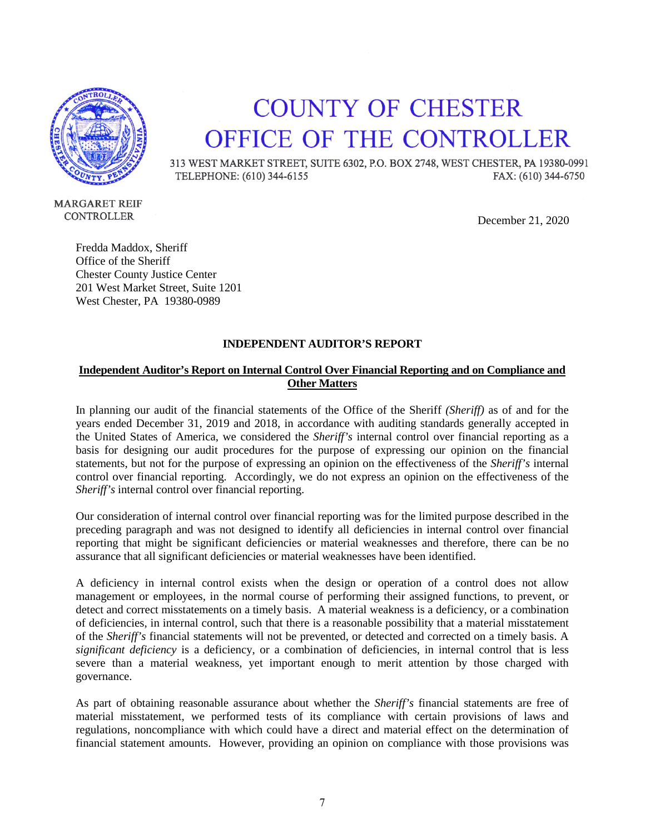

## **COUNTY OF CHESTER** OFFICE OF THE CONTROLLER

313 WEST MARKET STREET, SUITE 6302, P.O. BOX 2748, WEST CHESTER, PA 19380-0991 TELEPHONE: (610) 344-6155 FAX: (610) 344-6750

**MARGARET REIF** CONTROLLER

December 21, 2020

Fredda Maddox, Sheriff Office of the Sheriff Chester County Justice Center 201 West Market Street, Suite 1201 West Chester, PA 19380-0989

#### **INDEPENDENT AUDITOR'S REPORT**

## **Independent Auditor's Report on Internal Control Over Financial Reporting and on Compliance and Other Matters**

In planning our audit of the financial statements of the Office of the Sheriff *(Sheriff)* as of and for the years ended December 31, 2019 and 2018, in accordance with auditing standards generally accepted in the United States of America, we considered the *Sheriff's* internal control over financial reporting as a basis for designing our audit procedures for the purpose of expressing our opinion on the financial statements, but not for the purpose of expressing an opinion on the effectiveness of the *Sheriff's* internal control over financial reporting. Accordingly, we do not express an opinion on the effectiveness of the *Sheriff's* internal control over financial reporting.

Our consideration of internal control over financial reporting was for the limited purpose described in the preceding paragraph and was not designed to identify all deficiencies in internal control over financial reporting that might be significant deficiencies or material weaknesses and therefore, there can be no assurance that all significant deficiencies or material weaknesses have been identified.

A deficiency in internal control exists when the design or operation of a control does not allow management or employees, in the normal course of performing their assigned functions, to prevent, or detect and correct misstatements on a timely basis. A material weakness is a deficiency, or a combination of deficiencies, in internal control, such that there is a reasonable possibility that a material misstatement of the *Sheriff's* financial statements will not be prevented, or detected and corrected on a timely basis. A *significant deficiency* is a deficiency, or a combination of deficiencies, in internal control that is less severe than a material weakness, yet important enough to merit attention by those charged with governance.

As part of obtaining reasonable assurance about whether the *Sheriff's* financial statements are free of material misstatement, we performed tests of its compliance with certain provisions of laws and regulations, noncompliance with which could have a direct and material effect on the determination of financial statement amounts. However, providing an opinion on compliance with those provisions was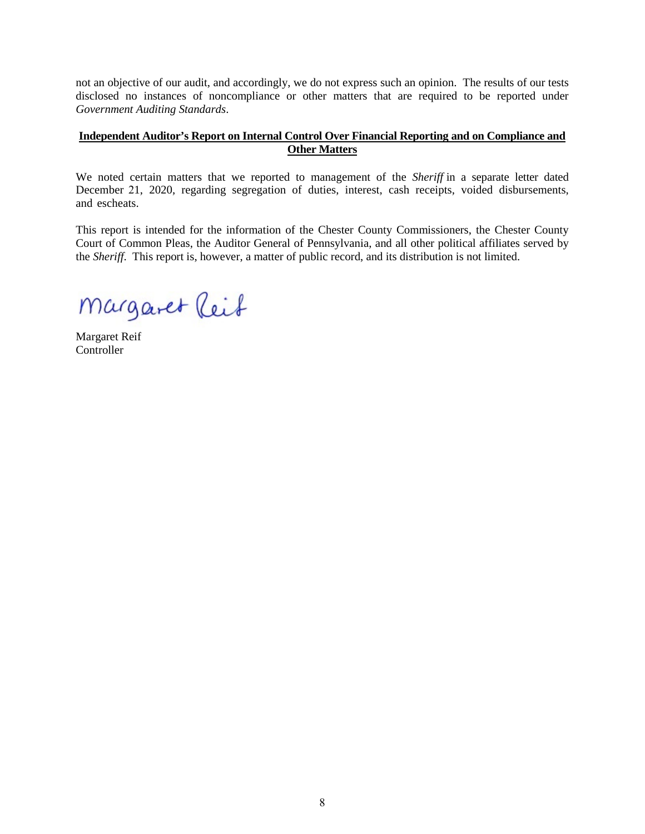not an objective of our audit, and accordingly, we do not express such an opinion. The results of our tests disclosed no instances of noncompliance or other matters that are required to be reported under *Government Auditing Standards*.

#### **Independent Auditor's Report on Internal Control Over Financial Reporting and on Compliance and Other Matters**

We noted certain matters that we reported to management of the *Sheriff* in a separate letter dated December 21, 2020, regarding segregation of duties, interest, cash receipts, voided disbursements, and escheats.

This report is intended for the information of the Chester County Commissioners, the Chester County Court of Common Pleas, the Auditor General of Pennsylvania, and all other political affiliates served by the *Sheriff*. This report is, however, a matter of public record, and its distribution is not limited.

Margaret Reif

Margaret Reif **Controller**